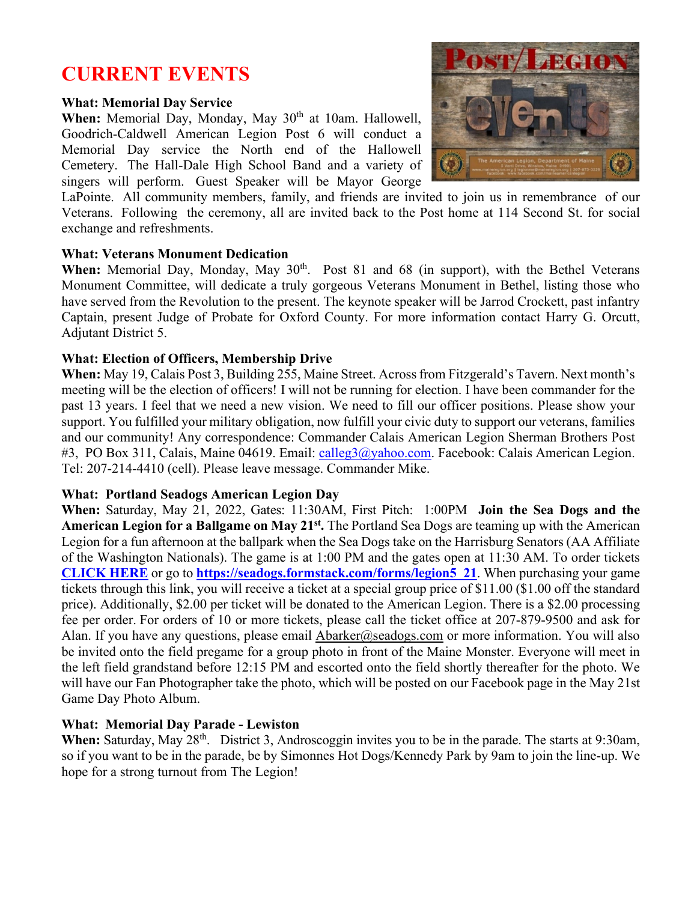# **CURRENT EVENTS**

## **What: Memorial Day Service**

When: Memorial Day, Monday, May 30<sup>th</sup> at 10am. Hallowell, Goodrich-Caldwell American Legion Post 6 will conduct a Memorial Day service the North end of the Hallowell Cemetery. The Hall-Dale High School Band and a variety of singers will perform. Guest Speaker will be Mayor George



LaPointe. All community members, family, and friends are invited to join us in remembrance of our Veterans. Following the ceremony, all are invited back to the Post home at 114 Second St. for social exchange and refreshments.

## **What: Veterans Monument Dedication**

When: Memorial Day, Monday, May 30<sup>th</sup>. Post 81 and 68 (in support), with the Bethel Veterans Monument Committee, will dedicate a truly gorgeous Veterans Monument in Bethel, listing those who have served from the Revolution to the present. The keynote speaker will be Jarrod Crockett, past infantry Captain, present Judge of Probate for Oxford County. For more information contact Harry G. Orcutt, Adjutant District 5.

## **What: Election of Officers, Membership Drive**

**When:** May 19, Calais Post 3, Building 255, Maine Street. Across from Fitzgerald's Tavern. Next month's meeting will be the election of officers! I will not be running for election. I have been commander for the past 13 years. I feel that we need a new vision. We need to fill our officer positions. Please show your support. You fulfilled your military obligation, now fulfill your civic duty to support our veterans, families and our community! Any correspondence: Commander Calais American Legion Sherman Brothers Post #3, PO Box 311, Calais, Maine 04619. Email: [calleg3@yahoo.com.](mailto:calleg3@yahoo.com) Facebook: Calais American Legion. Tel: 207-214-4410 (cell). Please leave message. Commander Mike.

## **What: Portland Seadogs American Legion Day**

**When:** Saturday, May 21, 2022, Gates: 11:30AM, First Pitch: 1:00PM **Join the Sea Dogs and the American Legion for a Ballgame on May 21st.** The Portland Sea Dogs are teaming up with the American Legion for a fun afternoon at the ballpark when the Sea Dogs take on the Harrisburg Senators (AA Affiliate of the Washington Nationals). The game is at 1:00 PM and the gates open at 11:30 AM. To order tickets **[CLICK HERE](https://seadogs.formstack.com/forms/legion5_21)** or go to **[https://seadogs.formstack.com/forms/legion5\\_21](https://seadogs.formstack.com/forms/legion5_21)**. When purchasing your game tickets through this link, you will receive a ticket at a special group price of \$11.00 (\$1.00 off the standard price). Additionally, \$2.00 per ticket will be donated to the American Legion. There is a \$2.00 processing fee per order. For orders of 10 or more tickets, please call the ticket office at 207-879-9500 and ask for Alan. If you have any questions, please email  $\text{Abarker}(a)$  seadogs.com or more information. You will also be invited onto the field pregame for a group photo in front of the Maine Monster. Everyone will meet in the left field grandstand before 12:15 PM and escorted onto the field shortly thereafter for the photo. We will have our Fan Photographer take the photo, which will be posted on our Facebook page in the May 21st Game Day Photo Album.

## **What: Memorial Day Parade - Lewiston**

When: Saturday, May 28<sup>th</sup>. District 3, Androscoggin invites you to be in the parade. The starts at 9:30am, so if you want to be in the parade, be by Simonnes Hot Dogs/Kennedy Park by 9am to join the line-up. We hope for a strong turnout from The Legion!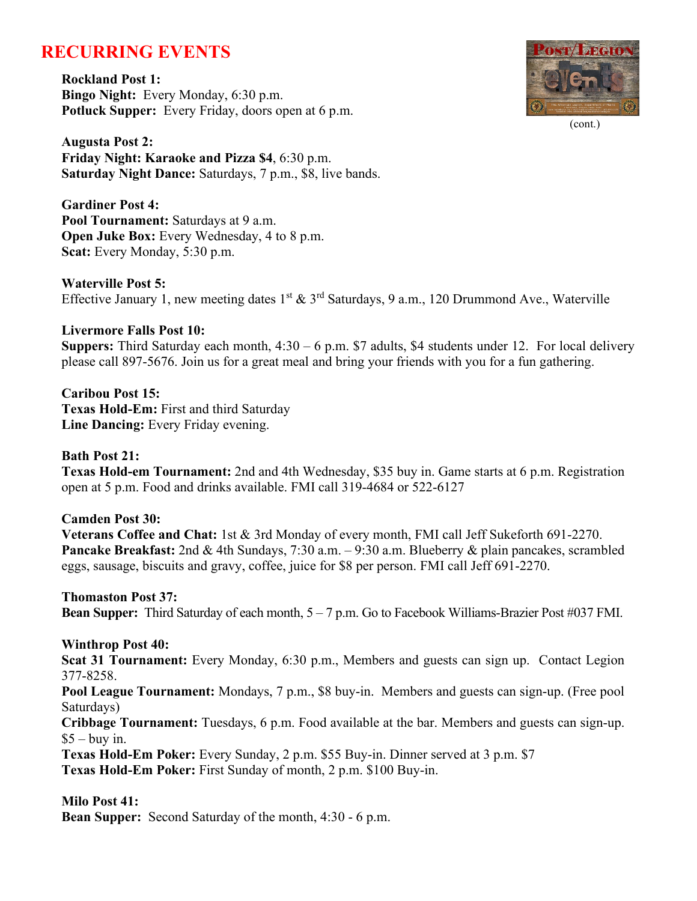## **RECURRING EVENTS**

**Rockland Post 1: Bingo Night:** Every Monday, 6:30 p.m. **Potluck Supper:** Every Friday, doors open at 6 p.m.



(cont.)

**Augusta Post 2: Friday Night: Karaoke and Pizza \$4**, 6:30 p.m. **Saturday Night Dance:** Saturdays, 7 p.m., \$8, live bands.

**Gardiner Post 4: Pool Tournament:** Saturdays at 9 a.m. **Open Juke Box:** Every Wednesday, 4 to 8 p.m. **Scat:** Every Monday, 5:30 p.m.

#### **Waterville Post 5:**

Effective January 1, new meeting dates 1<sup>st</sup> & 3<sup>rd</sup> Saturdays, 9 a.m., 120 Drummond Ave., Waterville

## **Livermore Falls Post 10:**

**Suppers:** Third Saturday each month, 4:30 – 6 p.m. \$7 adults, \$4 students under 12. For local delivery please call 897-5676. Join us for a great meal and bring your friends with you for a fun gathering.

**Caribou Post 15: Texas Hold-Em:** First and third Saturday **Line Dancing:** Every Friday evening.

## **Bath Post 21:**

**Texas Hold-em Tournament:** 2nd and 4th Wednesday, \$35 buy in. Game starts at 6 p.m. Registration open at 5 p.m. Food and drinks available. FMI call 319-4684 or 522-6127

## **Camden Post 30:**

**Veterans Coffee and Chat:** 1st & 3rd Monday of every month, FMI call Jeff Sukeforth 691-2270. **Pancake Breakfast:** 2nd & 4th Sundays, 7:30 a.m. – 9:30 a.m. Blueberry & plain pancakes, scrambled eggs, sausage, biscuits and gravy, coffee, juice for \$8 per person. FMI call Jeff 691-2270.

#### **Thomaston Post 37:**

**Bean Supper:** Third Saturday of each month, 5 – 7 p.m. Go to Facebook Williams-Brazier Post #037 FMI.

## **Winthrop Post 40:**

**Scat 31 Tournament:** Every Monday, 6:30 p.m., Members and guests can sign up. Contact Legion 377-8258.

**Pool League Tournament:** Mondays, 7 p.m., \$8 buy-in. Members and guests can sign-up. (Free pool Saturdays)

**Cribbage Tournament:** Tuesdays, 6 p.m. Food available at the bar. Members and guests can sign-up.  $$5 -$ buy in.

**Texas Hold-Em Poker:** Every Sunday, 2 p.m. \$55 Buy-in. Dinner served at 3 p.m. \$7

**Texas Hold-Em Poker:** First Sunday of month, 2 p.m. \$100 Buy-in.

## **Milo Post 41:**

**Bean Supper:** Second Saturday of the month, 4:30 - 6 p.m.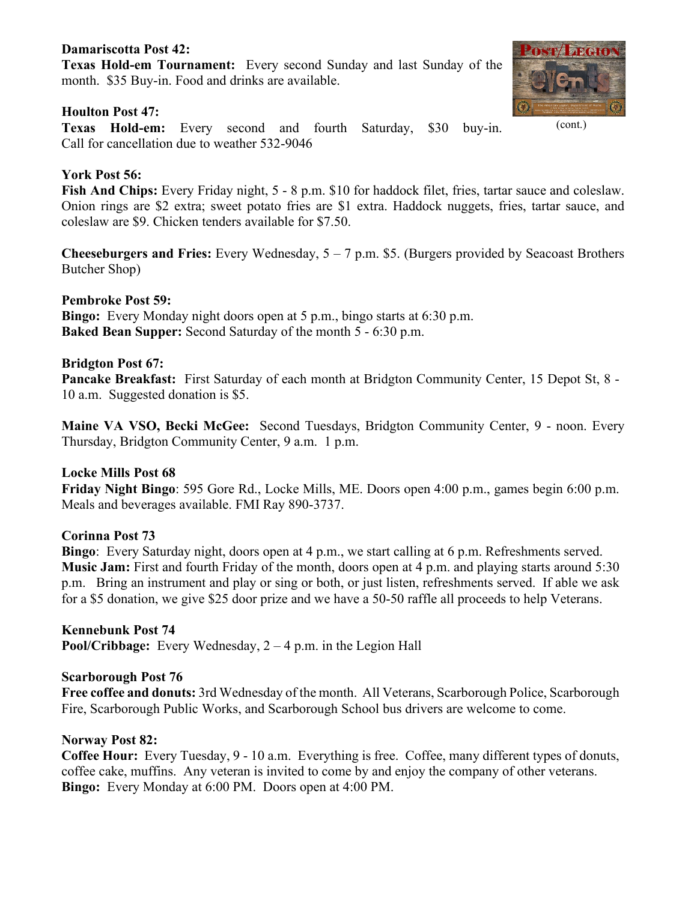## **Damariscotta Post 42:**

**Texas Hold-em Tournament:** Every second Sunday and last Sunday of the month. \$35 Buy-in. Food and drinks are available.

## **Houlton Post 47:**

**Texas Hold-em:** Every second and fourth Saturday, \$30 buy-in. Call for cancellation due to weather 532-9046

## **York Post 56:**

**Fish And Chips:** Every Friday night, 5 - 8 p.m. \$10 for haddock filet, fries, tartar sauce and coleslaw. Onion rings are \$2 extra; sweet potato fries are \$1 extra. Haddock nuggets, fries, tartar sauce, and coleslaw are \$9. Chicken tenders available for \$7.50.

**Cheeseburgers and Fries:** Every Wednesday, 5 – 7 p.m. \$5. (Burgers provided by Seacoast Brothers Butcher Shop)

## **Pembroke Post 59:**

**Bingo:** Every Monday night doors open at 5 p.m., bingo starts at 6:30 p.m. **Baked Bean Supper:** Second Saturday of the month 5 - 6:30 p.m.

## **Bridgton Post 67:**

**Pancake Breakfast:** First Saturday of each month at Bridgton Community Center, 15 Depot St, 8 - 10 a.m. Suggested donation is \$5.

**Maine VA VSO, Becki McGee:** Second Tuesdays, Bridgton Community Center, 9 - noon. Every Thursday, Bridgton Community Center, 9 a.m. 1 p.m.

## **Locke Mills Post 68**

**Friday Night Bingo**: 595 Gore Rd., Locke Mills, ME. Doors open 4:00 p.m., games begin 6:00 p.m. Meals and beverages available. FMI Ray 890-3737.

## **Corinna Post 73**

**Bingo**: Every Saturday night, doors open at 4 p.m., we start calling at 6 p.m. Refreshments served. **Music Jam:** First and fourth Friday of the month, doors open at 4 p.m. and playing starts around 5:30 p.m. Bring an instrument and play or sing or both, or just listen, refreshments served. If able we ask for a \$5 donation, we give \$25 door prize and we have a 50-50 raffle all proceeds to help Veterans.

## **Kennebunk Post 74**

**Pool/Cribbage:** Every Wednesday, 2 – 4 p.m. in the Legion Hall

#### **Scarborough Post 76**

**Free coffee and donuts:** 3rd Wednesday of the month. All Veterans, Scarborough Police, Scarborough Fire, Scarborough Public Works, and Scarborough School bus drivers are welcome to come.

#### **Norway Post 82:**

**Coffee Hour:** Every Tuesday, 9 - 10 a.m. Everything is free. Coffee, many different types of donuts, coffee cake, muffins. Any veteran is invited to come by and enjoy the company of other veterans. **Bingo:** Every Monday at 6:00 PM. Doors open at 4:00 PM.



(cont.)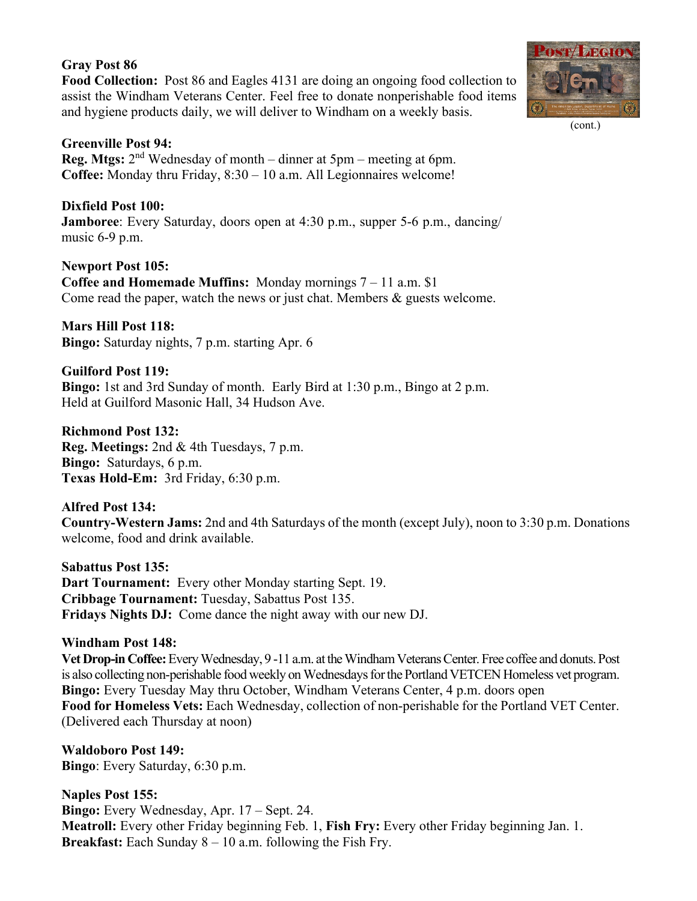## **Gray Post 86**

**Food Collection:** Post 86 and Eagles 4131 are doing an ongoing food collection to assist the Windham Veterans Center. Feel free to donate nonperishable food items and hygiene products daily, we will deliver to Windham on a weekly basis.



## **Dixfield Post 100:**

**Jamboree**: Every Saturday, doors open at 4:30 p.m., supper 5-6 p.m., dancing/ music 6-9 p.m.

## **Newport Post 105:**

**Coffee and Homemade Muffins:** Monday mornings 7 – 11 a.m. \$1 Come read the paper, watch the news or just chat. Members & guests welcome.

**Mars Hill Post 118: Bingo:** Saturday nights, 7 p.m. starting Apr. 6

**Guilford Post 119: Bingo:** 1st and 3rd Sunday of month. Early Bird at 1:30 p.m., Bingo at 2 p.m. Held at Guilford Masonic Hall, 34 Hudson Ave.

**Richmond Post 132: Reg. Meetings:** 2nd & 4th Tuesdays, 7 p.m. **Bingo:** Saturdays, 6 p.m. **Texas Hold-Em:** 3rd Friday, 6:30 p.m.

## **Alfred Post 134:**

**Country-Western Jams:** 2nd and 4th Saturdays of the month (except July), noon to 3:30 p.m. Donations welcome, food and drink available.

**Sabattus Post 135: Dart Tournament:** Every other Monday starting Sept. 19. **Cribbage Tournament:** Tuesday, Sabattus Post 135. **Fridays Nights DJ:** Come dance the night away with our new DJ.

## **Windham Post 148:**

**Vet Drop-in Coffee:**Every Wednesday, 9 -11 a.m. at the Windham Veterans Center. Free coffee and donuts. Post is also collecting non-perishable food weekly on Wednesdays for the Portland VETCEN Homeless vet program. **Bingo:** Every Tuesday May thru October, Windham Veterans Center, 4 p.m. doors open **Food for Homeless Vets:** Each Wednesday, collection of non-perishable for the Portland VET Center. (Delivered each Thursday at noon)

**Waldoboro Post 149: Bingo**: Every Saturday, 6:30 p.m.

## **Naples Post 155:**

**Bingo:** Every Wednesday, Apr. 17 – Sept. 24. **Meatroll:** Every other Friday beginning Feb. 1, **Fish Fry:** Every other Friday beginning Jan. 1. **Breakfast:** Each Sunday 8 – 10 a.m. following the Fish Fry.



(cont.)